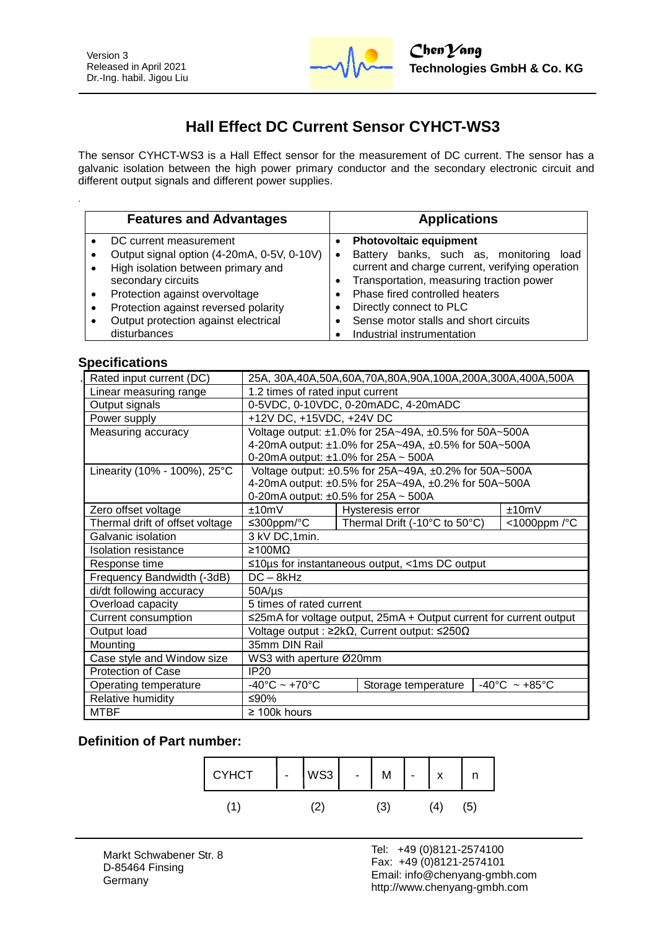

# **Hall Effect DC Current Sensor CYHCT-WS3**

The sensor CYHCT-WS3 is a Hall Effect sensor for the measurement of DC current. The sensor has a galvanic isolation between the high power primary conductor and the secondary electronic circuit and different output signals and different power supplies.

| <b>Features and Advantages</b>                                                                                                                                                  | <b>Applications</b>                                                                                                                                                                                                                 |
|---------------------------------------------------------------------------------------------------------------------------------------------------------------------------------|-------------------------------------------------------------------------------------------------------------------------------------------------------------------------------------------------------------------------------------|
| DC current measurement<br>Output signal option (4-20mA, 0-5V, 0-10V)<br>High isolation between primary and<br>secondary circuits<br>Protection against overvoltage<br>$\bullet$ | <b>Photovoltaic equipment</b><br>Battery banks, such as, monitoring load<br>$\bullet$<br>current and charge current, verifying operation<br>Transportation, measuring traction power<br>$\bullet$<br>Phase fired controlled heaters |
| Protection against reversed polarity<br>Output protection against electrical<br>disturbances                                                                                    | Directly connect to PLC<br>Sense motor stalls and short circuits<br>Industrial instrumentation                                                                                                                                      |

### **Specifications**

.

| Rated input current (DC)        | 25A, 30A,40A,50A,60A,70A,80A,90A,100A,200A,300A,400A,500A           |                                                      |                                    |
|---------------------------------|---------------------------------------------------------------------|------------------------------------------------------|------------------------------------|
| Linear measuring range          | 1.2 times of rated input current                                    |                                                      |                                    |
| Output signals                  | 0-5VDC, 0-10VDC, 0-20mADC, 4-20mADC                                 |                                                      |                                    |
| Power supply                    | +12V DC, +15VDC, +24V DC                                            |                                                      |                                    |
| Measuring accuracy              | Voltage output: ±1.0% for 25A~49A, ±0.5% for 50A~500A               |                                                      |                                    |
|                                 | 4-20mA output: ±1.0% for 25A~49A, ±0.5% for 50A~500A                |                                                      |                                    |
|                                 | 0-20mA output: $\pm$ 1.0% for 25A ~ 500A                            |                                                      |                                    |
| Linearity (10% - 100%), 25°C    | Voltage output: ±0.5% for 25A~49A, ±0.2% for 50A~500A               |                                                      |                                    |
|                                 |                                                                     | 4-20mA output: ±0.5% for 25A~49A, ±0.2% for 50A~500A |                                    |
|                                 | 0-20mA output: ±0.5% for 25A ~ 500A                                 |                                                      |                                    |
| Zero offset voltage             | ±10mV                                                               | Hysteresis error                                     | ±10mV                              |
| Thermal drift of offset voltage | ≤300ppm/ $°C$                                                       | Thermal Drift (-10°C to 50°C)                        | <1000ppm /°C                       |
| Galvanic isolation              | 3 kV DC, 1min.                                                      |                                                      |                                    |
| Isolation resistance            | $\geq 100$ MO                                                       |                                                      |                                    |
| Response time                   | $\leq$ 10µs for instantaneous output, <1ms DC output                |                                                      |                                    |
| Frequency Bandwidth (-3dB)      | $DC - 8kHz$                                                         |                                                      |                                    |
| di/dt following accuracy        | $50A/\mu s$                                                         |                                                      |                                    |
| Overload capacity               | 5 times of rated current                                            |                                                      |                                    |
| Current consumption             | ≤25mA for voltage output, 25mA + Output current for current output  |                                                      |                                    |
| Output load                     | Voltage output : $\geq 2k\Omega$ , Current output: $\leq 250\Omega$ |                                                      |                                    |
| Mounting                        | 35mm DIN Rail                                                       |                                                      |                                    |
| Case style and Window size      | WS3 with aperture Ø20mm                                             |                                                      |                                    |
| Protection of Case              | IP20                                                                |                                                      |                                    |
| Operating temperature           | $-40^{\circ}$ C ~ +70 $^{\circ}$ C                                  | Storage temperature                                  | $-40^{\circ}$ C ~ +85 $^{\circ}$ C |
| Relative humidity               | ≤90%                                                                |                                                      |                                    |
| <b>MTBF</b>                     | $\geq$ 100k hours                                                   |                                                      |                                    |

## **Definition of Part number:**

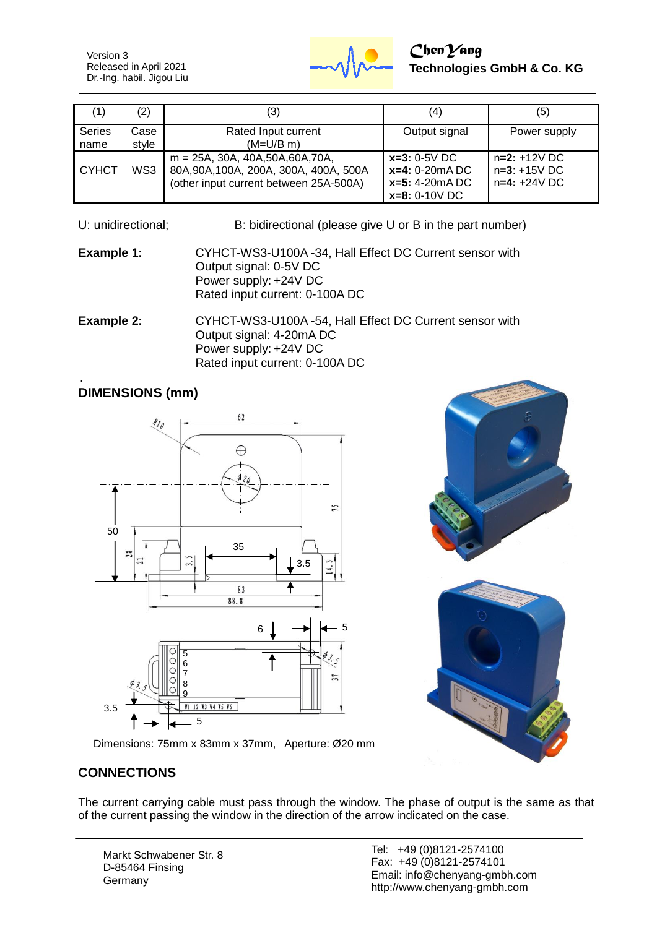Version 3 Released in April 2021 Dr.-Ing. habil. Jigou Liu



## *ChenYang* **Technologies GmbH & Co. KG**

| (1)            | (2)           | (3)                                                                                                                      | (4)                                                                       | (5)                                                |
|----------------|---------------|--------------------------------------------------------------------------------------------------------------------------|---------------------------------------------------------------------------|----------------------------------------------------|
| Series<br>name | Case<br>style | Rated Input current<br>$(M=U/B \, m)$                                                                                    | Output signal                                                             | Power supply                                       |
| <b>CYHCT</b>   | WS3           | $m = 25A$ , 30A, 40A, 50A, 60A, 70A,<br>80A, 90A, 100A, 200A, 300A, 400A, 500A<br>(other input current between 25A-500A) | $x=3: 0-5V$ DC<br>$x=4: 0-20mA DC$<br>$x=5: 4-20mA$ DC<br>$x=8: 0-10V$ DC | $n=2: +12V$ DC<br>$n=3: +15V$ DC<br>$n=4: +24V$ DC |

U: unidirectional; B: bidirectional (please give U or B in the part number)

**Example 1:** CYHCT-WS3-U100A -34, Hall Effect DC Current sensor with Output signal: 0-5V DC Power supply: +24V DC Rated input current: 0-100A DC

**Example 2:** CYHCT-WS3-U100A -54, Hall Effect DC Current sensor with Output signal: 4-20mA DC Power supply: +24V DC Rated input current: 0-100A DC

# **DIMENSIONS (mm)**







Dimensions: 75mm x 83mm x 37mm, Aperture: Ø20 mm

## **CONNECTIONS**

The current carrying cable must pass through the window. The phase of output is the same as that of the current passing the window in the direction of the arrow indicated on the case.

Markt Schwabener Str. 8 D-85464 Finsing **Germany**